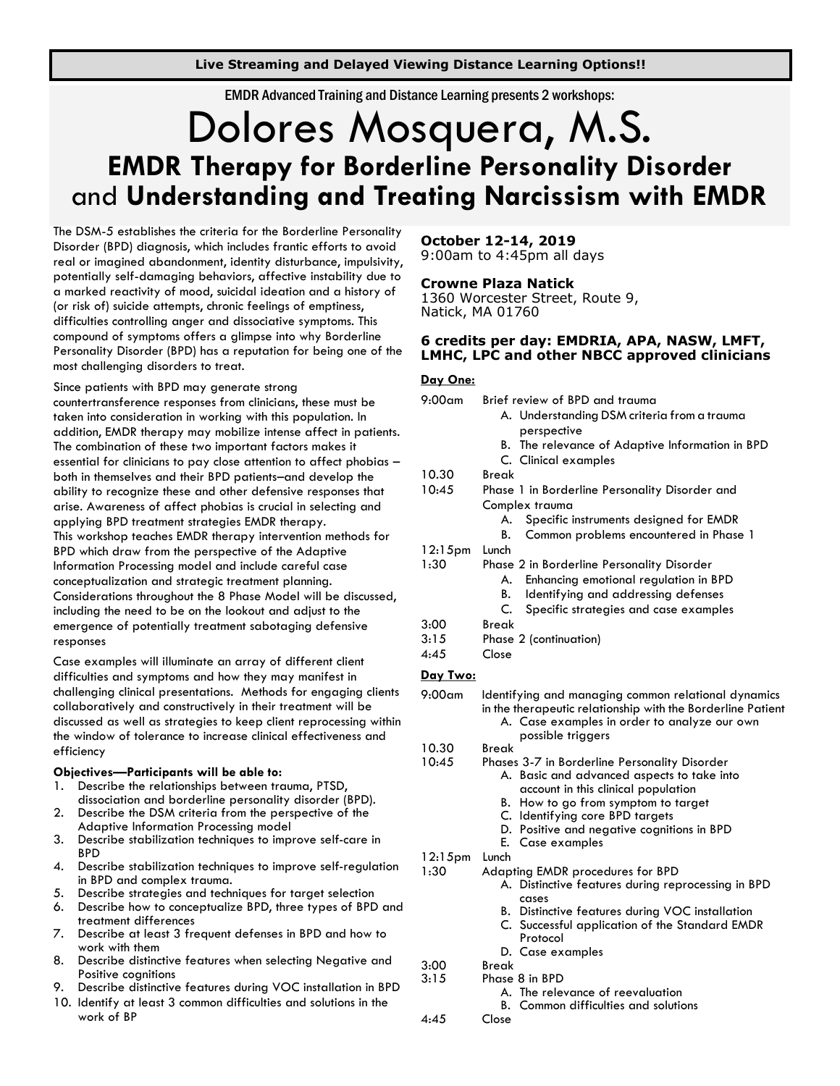**Live Streaming and Delayed Viewing Distance Learning Options!!**

EMDR Advanced Training and Distance Learning presents 2 workshops:

# Dolores Mosquera, M.S. **EMDR Therapy for Borderline Personality Disorder** and **Understanding and Treating Narcissism with EMDR**

The DSM-5 establishes the criteria for the Borderline Personality Disorder (BPD) diagnosis, which includes frantic efforts to avoid real or imagined abandonment, identity disturbance, impulsivity, potentially self-damaging behaviors, affective instability due to a marked reactivity of mood, suicidal ideation and a history of (or risk of) suicide attempts, chronic feelings of emptiness, difficulties controlling anger and dissociative symptoms. This compound of symptoms offers a glimpse into why Borderline Personality Disorder (BPD) has a reputation for being one of the most challenging disorders to treat.

#### Since patients with BPD may generate strong

countertransference responses from clinicians, these must be taken into consideration in working with this population. In addition, EMDR therapy may mobilize intense affect in patients. The combination of these two important factors makes it essential for clinicians to pay close attention to affect phobias – both in themselves and their BPD patients–and develop the ability to recognize these and other defensive responses that arise. Awareness of affect phobias is crucial in selecting and applying BPD treatment strategies EMDR therapy. This workshop teaches EMDR therapy intervention methods for BPD which draw from the perspective of the Adaptive Information Processing model and include careful case conceptualization and strategic treatment planning. Considerations throughout the 8 Phase Model will be discussed, including the need to be on the lookout and adjust to the emergence of potentially treatment sabotaging defensive responses

Case examples will illuminate an array of different client difficulties and symptoms and how they may manifest in challenging clinical presentations. Methods for engaging clients collaboratively and constructively in their treatment will be discussed as well as strategies to keep client reprocessing within the window of tolerance to increase clinical effectiveness and efficiency

#### **Objectives—Participants will be able to:**

- 1. Describe the relationships between trauma, PTSD, dissociation and borderline personality disorder (BPD).
- 2. Describe the DSM criteria from the perspective of the Adaptive Information Processing model
- 3. Describe stabilization techniques to improve self-care in BPD
- 4. Describe stabilization techniques to improve self-regulation in BPD and complex trauma.
- 5. Describe strategies and techniques for target selection
- 6. Describe how to conceptualize BPD, three types of BPD and treatment differences
- 7. Describe at least 3 frequent defenses in BPD and how to work with them
- 8. Describe distinctive features when selecting Negative and Positive cognitions
- 9. Describe distinctive features during VOC installation in BPD
- 10. Identify at least 3 common difficulties and solutions in the work of BP

#### **October 12-14, 2019** 9:00am to 4:45pm all days

# **Crowne Plaza Natick**

1360 Worcester Street, Route 9, Natick, MA 01760

# **6 credits per day: EMDRIA, APA, NASW, LMFT, LMHC, LPC and other NBCC approved clinicians**

#### **Day One:**

| $9:00$ am       | Brief review of BPD and trauma                                                                                                                                    |  |  |
|-----------------|-------------------------------------------------------------------------------------------------------------------------------------------------------------------|--|--|
|                 | A. Understanding DSM criteria from a trauma                                                                                                                       |  |  |
|                 | perspective                                                                                                                                                       |  |  |
|                 | B. The relevance of Adaptive Information in BPD                                                                                                                   |  |  |
|                 | C. Clinical examples                                                                                                                                              |  |  |
| 10.30           | Break                                                                                                                                                             |  |  |
| 10:45           | Phase 1 in Borderline Personality Disorder and                                                                                                                    |  |  |
|                 | Complex trauma                                                                                                                                                    |  |  |
|                 | Specific instruments designed for EMDR<br>А.                                                                                                                      |  |  |
|                 | Common problems encountered in Phase 1<br>В.                                                                                                                      |  |  |
| $12:15$ pm      | Lunch                                                                                                                                                             |  |  |
| 1:30            | Phase 2 in Borderline Personality Disorder                                                                                                                        |  |  |
|                 | Enhancing emotional regulation in BPD<br>А.                                                                                                                       |  |  |
|                 | Identifying and addressing defenses<br>В.                                                                                                                         |  |  |
|                 | C.<br>Specific strategies and case examples                                                                                                                       |  |  |
| 3:00            | <b>Break</b>                                                                                                                                                      |  |  |
| 3:15            | Phase 2 (continuation)                                                                                                                                            |  |  |
| 4:45            | Close                                                                                                                                                             |  |  |
| <u>Day Two:</u> |                                                                                                                                                                   |  |  |
| $9:00$ am       | Identifying and managing common relational dynamics<br>in the therapeutic relationship with the Borderline Patient<br>A Case examples in order to analyze our own |  |  |

in the therapeutic relationship with the Borderline Patient examples in order to analyze our own

- 
- 10.30 Break
- 10:45 Phases 3-7 in Borderline Personality Disorder
	- A. Basic and advanced aspects to take into account in this clinical population
	- B. How to go from symptom to target
	- C. Identifying core BPD targets

possible triggers

- D. Positive and negative cognitions in BPD
- E. Case examples
- 12:15pm Lunch
- 1:30 Adapting EMDR procedures for BPD
	- A. Distinctive features during reprocessing in BPD cases
	- B. Distinctive features during VOC installation
	- C. Successful application of the Standard EMDR Protocol
	- D. Case examples
- 3:00 Break
- 3:15 Phase 8 in BPD
	- A. The relevance of reevaluation
		- B. Common difficulties and solutions
- 4:45 Close